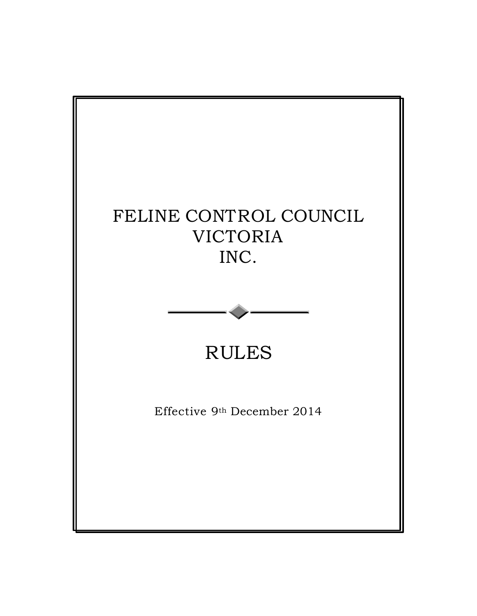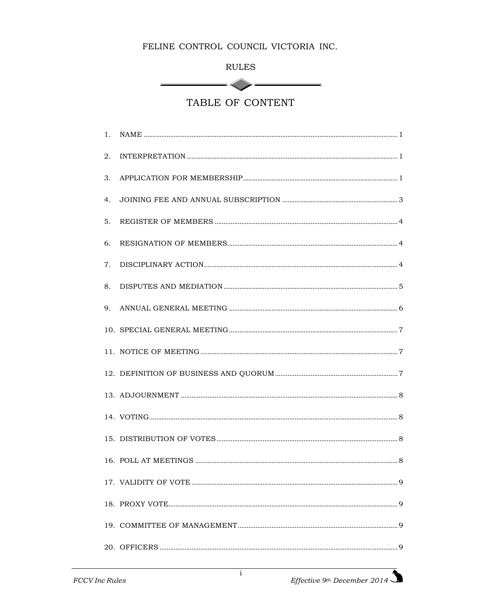| г<br>ľ<br>н |
|-------------|
|-------------|

 $<$ 

 $\overline{\phantom{a}}$ 

TABLE OF CONTENT

| 1. |                                                                                                                                                                                                                                                                                                                                                                                            |  |
|----|--------------------------------------------------------------------------------------------------------------------------------------------------------------------------------------------------------------------------------------------------------------------------------------------------------------------------------------------------------------------------------------------|--|
| 2. | $\label{thm:R} \textsc{INTERPRETATION} \textsc{} \textsc{} \textsc{} \textsc{} \textsc{} \textsc{} \textsc{} \textsc{} \textsc{} \textsc{} \textsc{} \textsc{} \textsc{} \textsc{} \textsc{} \textsc{} \textsc{} \textsc{} \textsc{} \textsc{} \textsc{} \textsc{} \textsc{} \textsc{} \textsc{} \textsc{} \textsc{} \textsc{} \textsc{} \textsc{} \textsc{} \textsc{} \textsc{} \textsc{$ |  |
| 3. |                                                                                                                                                                                                                                                                                                                                                                                            |  |
| 4. |                                                                                                                                                                                                                                                                                                                                                                                            |  |
| 5. |                                                                                                                                                                                                                                                                                                                                                                                            |  |
| 6. |                                                                                                                                                                                                                                                                                                                                                                                            |  |
| 7. |                                                                                                                                                                                                                                                                                                                                                                                            |  |
| 8. |                                                                                                                                                                                                                                                                                                                                                                                            |  |
| 9. |                                                                                                                                                                                                                                                                                                                                                                                            |  |
|    |                                                                                                                                                                                                                                                                                                                                                                                            |  |
|    |                                                                                                                                                                                                                                                                                                                                                                                            |  |
|    |                                                                                                                                                                                                                                                                                                                                                                                            |  |
|    |                                                                                                                                                                                                                                                                                                                                                                                            |  |
|    |                                                                                                                                                                                                                                                                                                                                                                                            |  |
|    |                                                                                                                                                                                                                                                                                                                                                                                            |  |
|    |                                                                                                                                                                                                                                                                                                                                                                                            |  |
|    |                                                                                                                                                                                                                                                                                                                                                                                            |  |
|    |                                                                                                                                                                                                                                                                                                                                                                                            |  |
|    |                                                                                                                                                                                                                                                                                                                                                                                            |  |
|    |                                                                                                                                                                                                                                                                                                                                                                                            |  |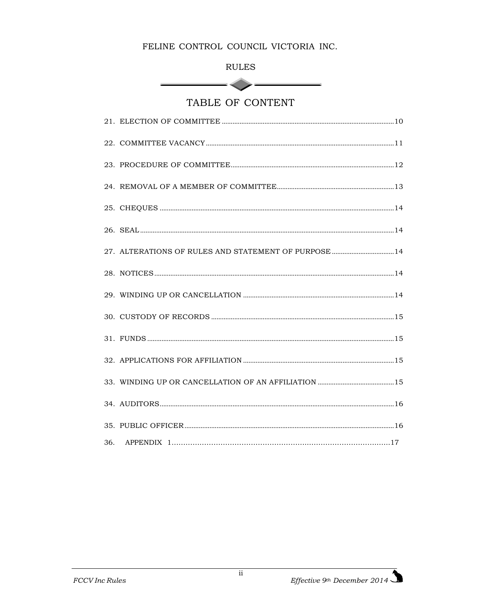**RULES** 

 $\sim$   $\sim$   $\sim$ 

<u> a shekara ta 1991</u>

TABLE OF CONTENT

| 27. ALTERATIONS OF RULES AND STATEMENT OF PURPOSE 14 |  |
|------------------------------------------------------|--|
|                                                      |  |
|                                                      |  |
|                                                      |  |
|                                                      |  |
|                                                      |  |
|                                                      |  |
|                                                      |  |
|                                                      |  |
|                                                      |  |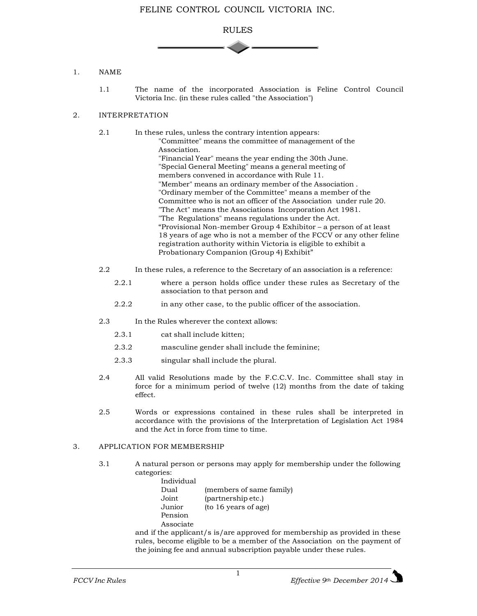

## 1. NAME

1.1 The name of the incorporated Association is Feline Control Council Victoria Inc. (in these rules called "the Association")

## 2. INTERPRETATION

2.1 In these rules, unless the contrary intention appears: "Committee" means the committee of management of the Association. "Financial Year" means the year ending the 30th June. "Special General Meeting" means a general meeting of members convened in accordance with Rule 11. "Member" means an ordinary member of the Association . "Ordinary member of the Committee" means a member of the Committee who is not an officer of the Association under rule 20. "The Act" means the Associations Incorporation Act 1981. "The Regulations" means regulations under the Act. "Provisional Non-member Group 4 Exhibitor – a person of at least 18 years of age who is not a member of the FCCV or any other feline registration authority within Victoria is eligible to exhibit a Probationary Companion (Group 4) Exhibit"

- 2.2 In these rules, a reference to the Secretary of an association is a reference:
	- 2.2.1 where a person holds office under these rules as Secretary of the association to that person and
	- 2.2.2 in any other case, to the public officer of the association.
- 2.3 In the Rules wherever the context allows:
	- 2.3.1 cat shall include kitten;
	- 2.3.2 masculine gender shall include the feminine;
	- 2.3.3 singular shall include the plural.
- 2.4 All valid Resolutions made by the F.C.C.V. Inc. Committee shall stay in force for a minimum period of twelve (12) months from the date of taking effect.
- 2.5 Words or expressions contained in these rules shall be interpreted in accordance with the provisions of the Interpretation of Legislation Act 1984 and the Act in force from time to time.

## 3. APPLICATION FOR MEMBERSHIP

- 3.1 A natural person or persons may apply for membership under the following categories:
	- Individual Dual (members of same family) Joint (partnership etc.) Junior (to 16 years of age) Pension Associate

and if the applicant/s is/are approved for membership as provided in these rules, become eligible to be a member of the Association on the payment of the joining fee and annual subscription payable under these rules.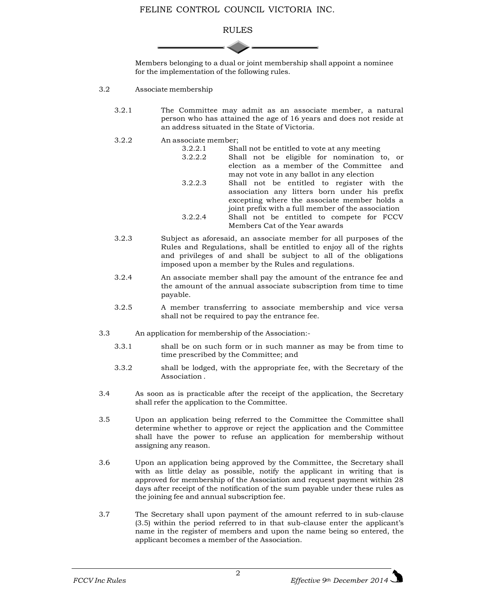

Members belonging to a dual or joint membership shall appoint a nominee for the implementation of the following rules.

- 3.2 Associate membership
	- 3.2.1 The Committee may admit as an associate member, a natural person who has attained the age of 16 years and does not reside at an address situated in the State of Victoria.
	- 3.2.2 An associate member;

| 3.2.2.1 | Shall not be entitled to vote at any meeting       |  |  |  |
|---------|----------------------------------------------------|--|--|--|
| 3.2.2.2 | Shall not be eligible for nomination to, or        |  |  |  |
|         | election as a member of the Committee and          |  |  |  |
|         | may not vote in any ballot in any election         |  |  |  |
| 3.2.2.3 | Shall not be entitled to register with the         |  |  |  |
|         | association any litters born under his prefix      |  |  |  |
|         | excepting where the associate member holds a       |  |  |  |
|         | joint prefix with a full member of the association |  |  |  |
| 3.2.2.4 | Shall not be entitled to compete for FCCV          |  |  |  |
|         | Members Cat of the Year awards                     |  |  |  |

- 3.2.3 Subject as aforesaid, an associate member for all purposes of the Rules and Regulations, shall be entitled to enjoy all of the rights and privileges of and shall be subject to all of the obligations imposed upon a member by the Rules and regulations.
- 3.2.4 An associate member shall pay the amount of the entrance fee and the amount of the annual associate subscription from time to time payable.
- 3.2.5 A member transferring to associate membership and vice versa shall not be required to pay the entrance fee.
- 3.3 An application for membership of the Association:-
	- 3.3.1 shall be on such form or in such manner as may be from time to time prescribed by the Committee; and
	- 3.3.2 shall be lodged, with the appropriate fee, with the Secretary of the Association .
- 3.4 As soon as is practicable after the receipt of the application, the Secretary shall refer the application to the Committee.
- 3.5 Upon an application being referred to the Committee the Committee shall determine whether to approve or reject the application and the Committee shall have the power to refuse an application for membership without assigning any reason.
- 3.6 Upon an application being approved by the Committee, the Secretary shall with as little delay as possible, notify the applicant in writing that is approved for membership of the Association and request payment within 28 days after receipt of the notification of the sum payable under these rules as the joining fee and annual subscription fee.
- 3.7 The Secretary shall upon payment of the amount referred to in sub-clause (3.5) within the period referred to in that sub-clause enter the applicant's name in the register of members and upon the name being so entered, the applicant becomes a member of the Association.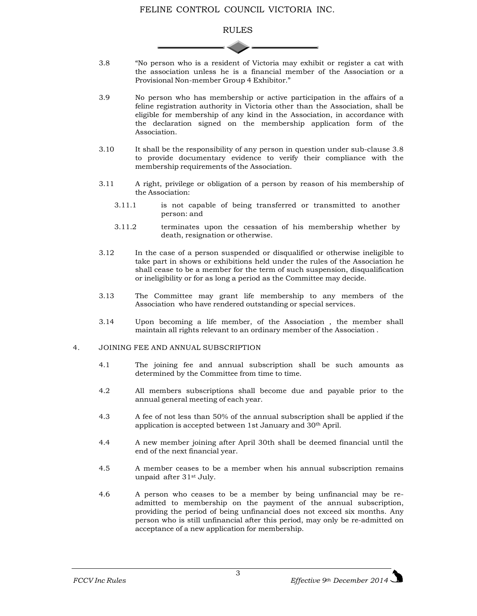## RULES

- 3.8 "No person who is a resident of Victoria may exhibit or register a cat with the association unless he is a financial member of the Association or a Provisional Non-member Group 4 Exhibitor."
- 3.9 No person who has membership or active participation in the affairs of a feline registration authority in Victoria other than the Association, shall be eligible for membership of any kind in the Association, in accordance with the declaration signed on the membership application form of the Association.
- 3.10 It shall be the responsibility of any person in question under sub-clause 3.8 to provide documentary evidence to verify their compliance with the membership requirements of the Association.
- 3.11 A right, privilege or obligation of a person by reason of his membership of the Association:
	- 3.11.1 is not capable of being transferred or transmitted to another person: and
	- 3.11.2 terminates upon the cessation of his membership whether by death, resignation or otherwise.
- 3.12 In the case of a person suspended or disqualified or otherwise ineligible to take part in shows or exhibitions held under the rules of the Association he shall cease to be a member for the term of such suspension, disqualification or ineligibility or for as long a period as the Committee may decide.
- 3.13 The Committee may grant life membership to any members of the Association who have rendered outstanding or special services.
- 3.14 Upon becoming a life member, of the Association , the member shall maintain all rights relevant to an ordinary member of the Association .

#### 4. JOINING FEE AND ANNUAL SUBSCRIPTION

- 4.1 The joining fee and annual subscription shall be such amounts as determined by the Committee from time to time.
- 4.2 All members subscriptions shall become due and payable prior to the annual general meeting of each year.
- 4.3 A fee of not less than 50% of the annual subscription shall be applied if the application is accepted between 1st January and 30th April.
- 4.4 A new member joining after April 30th shall be deemed financial until the end of the next financial year.
- 4.5 A member ceases to be a member when his annual subscription remains unpaid after 31st July.
- 4.6 A person who ceases to be a member by being unfinancial may be readmitted to membership on the payment of the annual subscription, providing the period of being unfinancial does not exceed six months. Any person who is still unfinancial after this period, may only be re-admitted on acceptance of a new application for membership.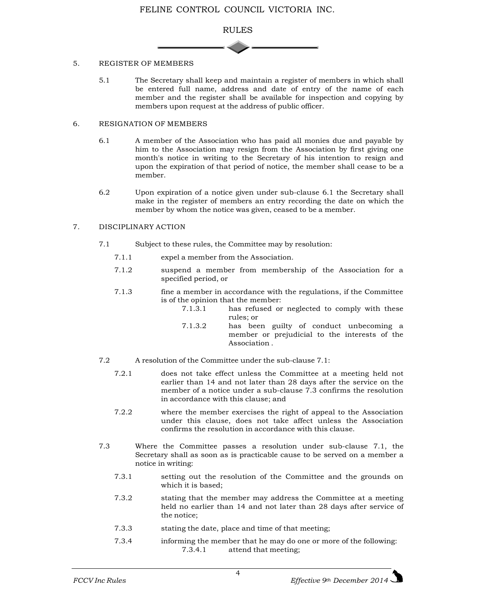

#### 5. REGISTER OF MEMBERS

5.1 The Secretary shall keep and maintain a register of members in which shall be entered full name, address and date of entry of the name of each member and the register shall be available for inspection and copying by members upon request at the address of public officer.

#### 6. RESIGNATION OF MEMBERS

- 6.1 A member of the Association who has paid all monies due and payable by him to the Association may resign from the Association by first giving one month's notice in writing to the Secretary of his intention to resign and upon the expiration of that period of notice, the member shall cease to be a member.
- 6.2 Upon expiration of a notice given under sub-clause 6.1 the Secretary shall make in the register of members an entry recording the date on which the member by whom the notice was given, ceased to be a member.

## 7. DISCIPLINARY ACTION

- 7.1 Subject to these rules, the Committee may by resolution:
	- 7.1.1 expel a member from the Association.
	- 7.1.2 suspend a member from membership of the Association for a specified period, or
	- 7.1.3 fine a member in accordance with the regulations, if the Committee is of the opinion that the member:
		- 7.1.3.1 has refused or neglected to comply with these rules; or
		- 7.1.3.2 has been guilty of conduct unbecoming a member or prejudicial to the interests of the Association .
- 7.2 A resolution of the Committee under the sub-clause 7.1:
	- 7.2.1 does not take effect unless the Committee at a meeting held not earlier than 14 and not later than 28 days after the service on the member of a notice under a sub-clause 7.3 confirms the resolution in accordance with this clause; and
	- 7.2.2 where the member exercises the right of appeal to the Association under this clause, does not take affect unless the Association confirms the resolution in accordance with this clause.
- 7.3 Where the Committee passes a resolution under sub-clause 7.1, the Secretary shall as soon as is practicable cause to be served on a member a notice in writing:
	- 7.3.1 setting out the resolution of the Committee and the grounds on which it is based;
	- 7.3.2 stating that the member may address the Committee at a meeting held no earlier than 14 and not later than 28 days after service of the notice;
	- 7.3.3 stating the date, place and time of that meeting;
	- 7.3.4 informing the member that he may do one or more of the following: 7.3.4.1 attend that meeting;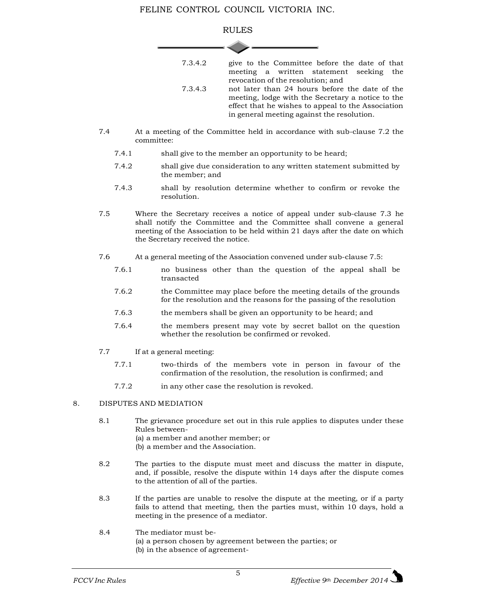## RULES **State**

| 7.3.4.2 | give to the Committee before the date of that<br>meeting a written statement seeking the                                                                                                                |  |
|---------|---------------------------------------------------------------------------------------------------------------------------------------------------------------------------------------------------------|--|
|         | revocation of the resolution; and                                                                                                                                                                       |  |
| 7.3.4.3 | not later than 24 hours before the date of the<br>meeting, lodge with the Secretary a notice to the<br>effect that he wishes to appeal to the Association<br>in general meeting against the resolution. |  |

- 7.4 At a meeting of the Committee held in accordance with sub-clause 7.2 the committee:
	- 7.4.1 shall give to the member an opportunity to be heard;
	- 7.4.2 shall give due consideration to any written statement submitted by the member; and
	- 7.4.3 shall by resolution determine whether to confirm or revoke the resolution.
- 7.5 Where the Secretary receives a notice of appeal under sub-clause 7.3 he shall notify the Committee and the Committee shall convene a general meeting of the Association to be held within 21 days after the date on which the Secretary received the notice.
- 7.6 At a general meeting of the Association convened under sub-clause 7.5:
	- 7.6.1 no business other than the question of the appeal shall be transacted
	- 7.6.2 the Committee may place before the meeting details of the grounds for the resolution and the reasons for the passing of the resolution
	- 7.6.3 the members shall be given an opportunity to be heard; and
	- 7.6.4 the members present may vote by secret ballot on the question whether the resolution be confirmed or revoked.
- 7.7 If at a general meeting:
	- 7.7.1 two-thirds of the members vote in person in favour of the confirmation of the resolution, the resolution is confirmed; and
	- 7.7.2 in any other case the resolution is revoked.

## 8. DISPUTES AND MEDIATION

- 8.1 The grievance procedure set out in this rule applies to disputes under these Rules between-
	- (a) a member and another member; or
	- (b) a member and the Association.
- 8.2 The parties to the dispute must meet and discuss the matter in dispute, and, if possible, resolve the dispute within 14 days after the dispute comes to the attention of all of the parties.
- 8.3 If the parties are unable to resolve the dispute at the meeting, or if a party fails to attend that meeting, then the parties must, within 10 days, hold a meeting in the presence of a mediator.
- 8.4 The mediator must be-
	- (a) a person chosen by agreement between the parties; or
	- (b) in the absence of agreement-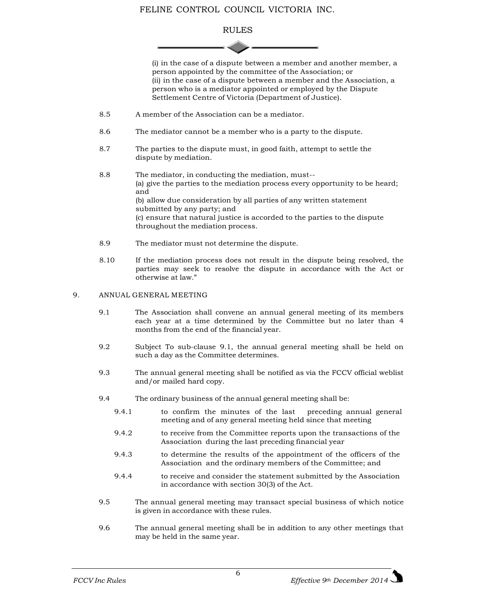## RULES

(i) in the case of a dispute between a member and another member, a person appointed by the committee of the Association; or (ii) in the case of a dispute between a member and the Association, a person who is a mediator appointed or employed by the Dispute Settlement Centre of Victoria (Department of Justice).

- 8.5 A member of the Association can be a mediator.
- 8.6 The mediator cannot be a member who is a party to the dispute.
- 8.7 The parties to the dispute must, in good faith, attempt to settle the dispute by mediation.
- 8.8 The mediator, in conducting the mediation, must-- (a) give the parties to the mediation process every opportunity to be heard; and (b) allow due consideration by all parties of any written statement submitted by any party; and (c) ensure that natural justice is accorded to the parties to the dispute throughout the mediation process.
- 8.9 The mediator must not determine the dispute.
- 8.10 If the mediation process does not result in the dispute being resolved, the parties may seek to resolve the dispute in accordance with the Act or otherwise at law."

#### 9. ANNUAL GENERAL MEETING

- 9.1 The Association shall convene an annual general meeting of its members each year at a time determined by the Committee but no later than 4 months from the end of the financial year.
- 9.2 Subject To sub-clause 9.1, the annual general meeting shall be held on such a day as the Committee determines.
- 9.3 The annual general meeting shall be notified as via the FCCV official weblist and/or mailed hard copy.
- 9.4 The ordinary business of the annual general meeting shall be:
	- 9.4.1 to confirm the minutes of the last preceding annual general meeting and of any general meeting held since that meeting
	- 9.4.2 to receive from the Committee reports upon the transactions of the Association during the last preceding financial year
	- 9.4.3 to determine the results of the appointment of the officers of the Association and the ordinary members of the Committee; and
	- 9.4.4 to receive and consider the statement submitted by the Association in accordance with section 30(3) of the Act.
- 9.5 The annual general meeting may transact special business of which notice is given in accordance with these rules.
- 9.6 The annual general meeting shall be in addition to any other meetings that may be held in the same year.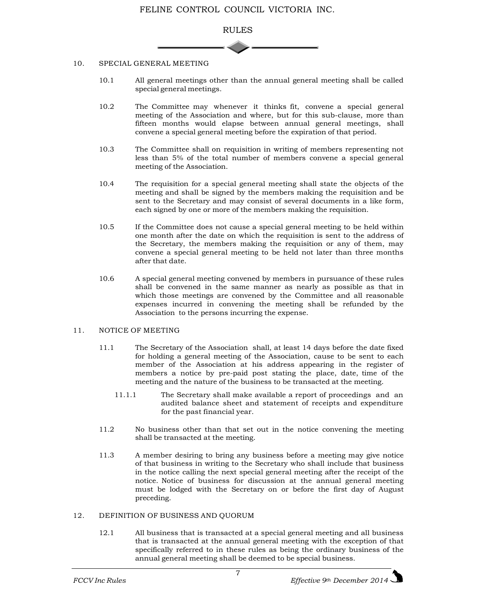

#### 10. SPECIAL GENERAL MEETING

- 10.1 All general meetings other than the annual general meeting shall be called special general meetings.
- 10.2 The Committee may whenever it thinks fit, convene a special general meeting of the Association and where, but for this sub-clause, more than fifteen months would elapse between annual general meetings, shall convene a special general meeting before the expiration of that period.
- 10.3 The Committee shall on requisition in writing of members representing not less than 5% of the total number of members convene a special general meeting of the Association.
- 10.4 The requisition for a special general meeting shall state the objects of the meeting and shall be signed by the members making the requisition and be sent to the Secretary and may consist of several documents in a like form, each signed by one or more of the members making the requisition.
- 10.5 If the Committee does not cause a special general meeting to be held within one month after the date on which the requisition is sent to the address of the Secretary, the members making the requisition or any of them, may convene a special general meeting to be held not later than three months after that date.
- 10.6 A special general meeting convened by members in pursuance of these rules shall be convened in the same manner as nearly as possible as that in which those meetings are convened by the Committee and all reasonable expenses incurred in convening the meeting shall be refunded by the Association to the persons incurring the expense.

#### 11. NOTICE OF MEETING

- 11.1 The Secretary of the Association shall, at least 14 days before the date fixed for holding a general meeting of the Association, cause to be sent to each member of the Association at his address appearing in the register of members a notice by pre-paid post stating the place, date, time of the meeting and the nature of the business to be transacted at the meeting.
	- 11.1.1 The Secretary shall make available a report of proceedings and an audited balance sheet and statement of receipts and expenditure for the past financial year.
- 11.2 No business other than that set out in the notice convening the meeting shall be transacted at the meeting.
- 11.3 A member desiring to bring any business before a meeting may give notice of that business in writing to the Secretary who shall include that business in the notice calling the next special general meeting after the receipt of the notice. Notice of business for discussion at the annual general meeting must be lodged with the Secretary on or before the first day of August preceding.

#### 12. DEFINITION OF BUSINESS AND QUORUM

12.1 All business that is transacted at a special general meeting and all business that is transacted at the annual general meeting with the exception of that specifically referred to in these rules as being the ordinary business of the annual general meeting shall be deemed to be special business.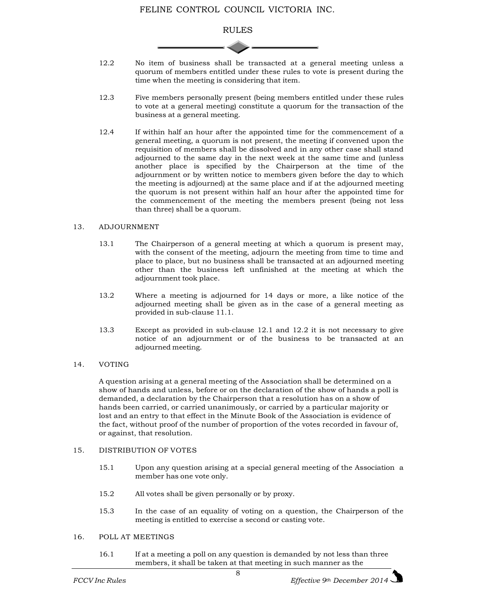

- 12.2 No item of business shall be transacted at a general meeting unless a quorum of members entitled under these rules to vote is present during the time when the meeting is considering that item.
- 12.3 Five members personally present (being members entitled under these rules to vote at a general meeting) constitute a quorum for the transaction of the business at a general meeting.
- 12.4 If within half an hour after the appointed time for the commencement of a general meeting, a quorum is not present, the meeting if convened upon the requisition of members shall be dissolved and in any other case shall stand adjourned to the same day in the next week at the same time and (unless another place is specified by the Chairperson at the time of the adjournment or by written notice to members given before the day to which the meeting is adjourned) at the same place and if at the adjourned meeting the quorum is not present within half an hour after the appointed time for the commencement of the meeting the members present (being not less than three) shall be a quorum.

#### 13. ADJOURNMENT

- 13.1 The Chairperson of a general meeting at which a quorum is present may, with the consent of the meeting, adjourn the meeting from time to time and place to place, but no business shall be transacted at an adjourned meeting other than the business left unfinished at the meeting at which the adjournment took place.
- 13.2 Where a meeting is adjourned for 14 days or more, a like notice of the adjourned meeting shall be given as in the case of a general meeting as provided in sub-clause 11.1.
- 13.3 Except as provided in sub-clause 12.1 and 12.2 it is not necessary to give notice of an adjournment or of the business to be transacted at an adjourned meeting.
- 14. VOTING

A question arising at a general meeting of the Association shall be determined on a show of hands and unless, before or on the declaration of the show of hands a poll is demanded, a declaration by the Chairperson that a resolution has on a show of hands been carried, or carried unanimously, or carried by a particular majority or lost and an entry to that effect in the Minute Book of the Association is evidence of the fact, without proof of the number of proportion of the votes recorded in favour of, or against, that resolution.

## 15. DISTRIBUTION OF VOTES

- 15.1 Upon any question arising at a special general meeting of the Association a member has one vote only.
- 15.2 All votes shall be given personally or by proxy.
- 15.3 In the case of an equality of voting on a question, the Chairperson of the meeting is entitled to exercise a second or casting vote.

#### 16. POLL AT MEETINGS

16.1 If at a meeting a poll on any question is demanded by not less than three members, it shall be taken at that meeting in such manner as the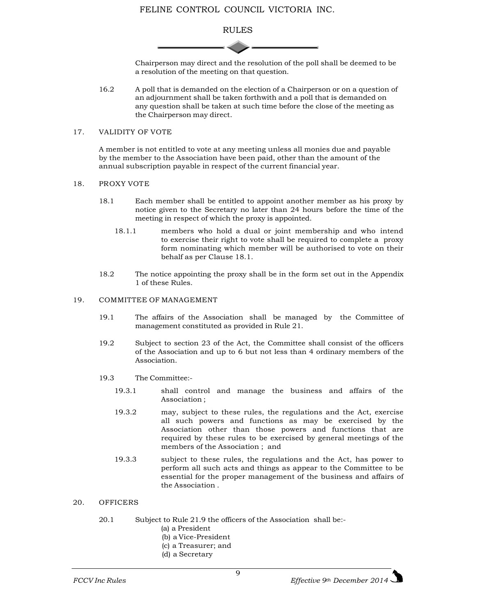## RULES

Chairperson may direct and the resolution of the poll shall be deemed to be a resolution of the meeting on that question.

16.2 A poll that is demanded on the election of a Chairperson or on a question of an adjournment shall be taken forthwith and a poll that is demanded on any question shall be taken at such time before the close of the meeting as the Chairperson may direct.

#### 17. VALIDITY OF VOTE

A member is not entitled to vote at any meeting unless all monies due and payable by the member to the Association have been paid, other than the amount of the annual subscription payable in respect of the current financial year.

#### 18. PROXY VOTE

- 18.1 Each member shall be entitled to appoint another member as his proxy by notice given to the Secretary no later than 24 hours before the time of the meeting in respect of which the proxy is appointed.
	- 18.1.1 members who hold a dual or joint membership and who intend to exercise their right to vote shall be required to complete a proxy form nominating which member will be authorised to vote on their behalf as per Clause 18.1.
- 18.2 The notice appointing the proxy shall be in the form set out in the Appendix 1 of these Rules.

## 19. COMMITTEE OF MANAGEMENT

- 19.1 The affairs of the Association shall be managed by the Committee of management constituted as provided in Rule 21.
- 19.2 Subject to section 23 of the Act, the Committee shall consist of the officers of the Association and up to 6 but not less than 4 ordinary members of the Association.
- 19.3 The Committee:-
	- 19.3.1 shall control and manage the business and affairs of the Association ;
	- 19.3.2 may, subject to these rules, the regulations and the Act, exercise all such powers and functions as may be exercised by the Association other than those powers and functions that are required by these rules to be exercised by general meetings of the members of the Association ; and
	- 19.3.3 subject to these rules, the regulations and the Act, has power to perform all such acts and things as appear to the Committee to be essential for the proper management of the business and affairs of the Association .

## 20. OFFICERS

- 20.1 Subject to Rule 21.9 the officers of the Association shall be:-
	- (a) a President
	- (b) a Vice-President
	- (c) a Treasurer; and
	- (d) a Secretary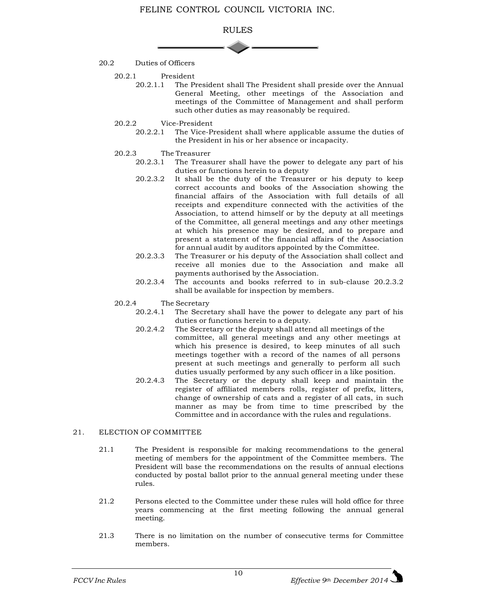

- 20.2 Duties of Officers
	- 20.2.1 President<br>20.2.1.1 The P
		- The President shall The President shall preside over the Annual General Meeting, other meetings of the Association and meetings of the Committee of Management and shall perform such other duties as may reasonably be required.
	- 20.2.2 Vice-President
		- 20.2.2.1 The Vice-President shall where applicable assume the duties of the President in his or her absence or incapacity.

# 20.2.3 The Treasurer<br>20.2.3.1 The Treasu

- The Treasurer shall have the power to delegate any part of his duties or functions herein to a deputy
- 20.2.3.2 It shall be the duty of the Treasurer or his deputy to keep correct accounts and books of the Association showing the financial affairs of the Association with full details of all receipts and expenditure connected with the activities of the Association, to attend himself or by the deputy at all meetings of the Committee, all general meetings and any other meetings at which his presence may be desired, and to prepare and present a statement of the financial affairs of the Association for annual audit by auditors appointed by the Committee.
- 20.2.3.3 The Treasurer or his deputy of the Association shall collect and receive all monies due to the Association and make all payments authorised by the Association.
- 20.2.3.4 The accounts and books referred to in sub-clause 20.2.3.2 shall be available for inspection by members.

# 20.2.4 The Secretary<br>20.2.4.1 The Secre

- The Secretary shall have the power to delegate any part of his duties or functions herein to a deputy.
- 20.2.4.2 The Secretary or the deputy shall attend all meetings of the committee, all general meetings and any other meetings at which his presence is desired, to keep minutes of all such meetings together with a record of the names of all persons present at such meetings and generally to perform all such duties usually performed by any such officer in a like position.
- 20.2.4.3 The Secretary or the deputy shall keep and maintain the register of affiliated members rolls, register of prefix, litters, change of ownership of cats and a register of all cats, in such manner as may be from time to time prescribed by the Committee and in accordance with the rules and regulations.

## 21. ELECTION OF COMMITTEE

- 21.1 The President is responsible for making recommendations to the general meeting of members for the appointment of the Committee members. The President will base the recommendations on the results of annual elections conducted by postal ballot prior to the annual general meeting under these rules.
- 21.2 Persons elected to the Committee under these rules will hold office for three years commencing at the first meeting following the annual general meeting.
- 21.3 There is no limitation on the number of consecutive terms for Committee members.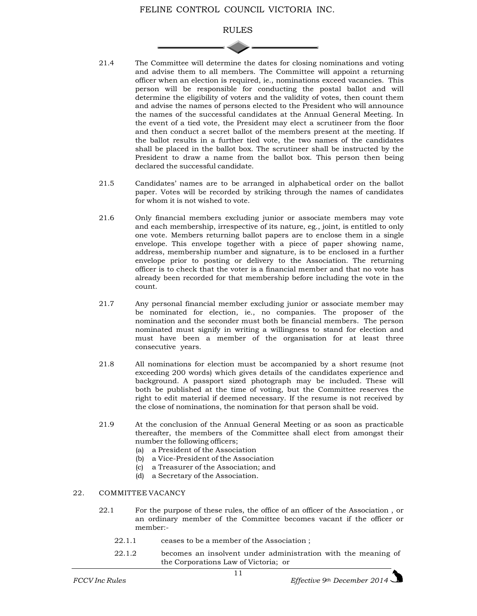## RULES

- 21.4 The Committee will determine the dates for closing nominations and voting and advise them to all members. The Committee will appoint a returning officer when an election is required, ie., nominations exceed vacancies. This person will be responsible for conducting the postal ballot and will determine the eligibility of voters and the validity of votes, then count them and advise the names of persons elected to the President who will announce the names of the successful candidates at the Annual General Meeting. In the event of a tied vote, the President may elect a scrutineer from the floor and then conduct a secret ballot of the members present at the meeting. If the ballot results in a further tied vote, the two names of the candidates shall be placed in the ballot box. The scrutineer shall be instructed by the President to draw a name from the ballot box. This person then being declared the successful candidate.
- 21.5 Candidates' names are to be arranged in alphabetical order on the ballot paper. Votes will be recorded by striking through the names of candidates for whom it is not wished to vote.
- 21.6 Only financial members excluding junior or associate members may vote and each membership, irrespective of its nature, eg., joint, is entitled to only one vote. Members returning ballot papers are to enclose them in a single envelope. This envelope together with a piece of paper showing name, address, membership number and signature, is to be enclosed in a further envelope prior to posting or delivery to the Association. The returning officer is to check that the voter is a financial member and that no vote has already been recorded for that membership before including the vote in the count.
- 21.7 Any personal financial member excluding junior or associate member may be nominated for election, ie., no companies. The proposer of the nomination and the seconder must both be financial members. The person nominated must signify in writing a willingness to stand for election and must have been a member of the organisation for at least three consecutive years.
- 21.8 All nominations for election must be accompanied by a short resume (not exceeding 200 words) which gives details of the candidates experience and background. A passport sized photograph may be included. These will both be published at the time of voting, but the Committee reserves the right to edit material if deemed necessary. If the resume is not received by the close of nominations, the nomination for that person shall be void.
- 21.9 At the conclusion of the Annual General Meeting or as soon as practicable thereafter, the members of the Committee shall elect from amongst their number the following officers;
	- (a) a President of the Association
	- (b) a Vice-President of the Association
	- (c) a Treasurer of the Association; and
	- (d) a Secretary of the Association.

## 22. COMMITTEE VACANCY

- 22.1 For the purpose of these rules, the office of an officer of the Association , or an ordinary member of the Committee becomes vacant if the officer or member:-
	- 22.1.1 ceases to be a member of the Association ;
	- 22.1.2 becomes an insolvent under administration with the meaning of the Corporations Law of Victoria; or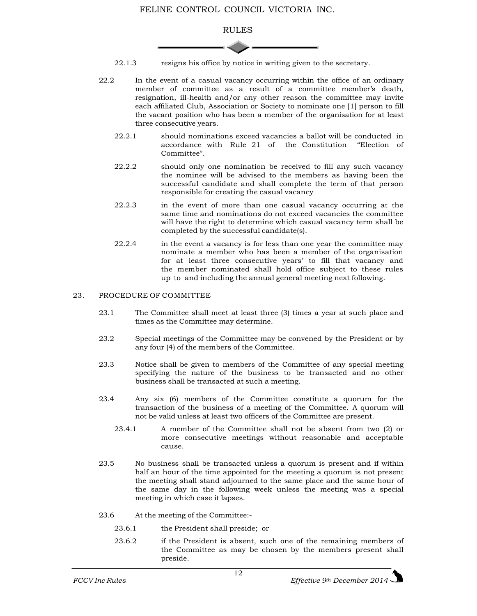

- 22.1.3 resigns his office by notice in writing given to the secretary.
- 22.2 In the event of a casual vacancy occurring within the office of an ordinary member of committee as a result of a committee member's death, resignation, ill-health and/or any other reason the committee may invite each affiliated Club, Association or Society to nominate one [1] person to fill the vacant position who has been a member of the organisation for at least three consecutive years.
	- 22.2.1 should nominations exceed vacancies a ballot will be conducted in accordance with Rule 21 of the Constitution "Election of Committee".
	- 22.2.2 should only one nomination be received to fill any such vacancy the nominee will be advised to the members as having been the successful candidate and shall complete the term of that person responsible for creating the casual vacancy
	- 22.2.3 in the event of more than one casual vacancy occurring at the same time and nominations do not exceed vacancies the committee will have the right to determine which casual vacancy term shall be completed by the successful candidate(s).
	- 22.2.4 in the event a vacancy is for less than one year the committee may nominate a member who has been a member of the organisation for at least three consecutive years' to fill that vacancy and the member nominated shall hold office subject to these rules up to and including the annual general meeting next following.

#### 23. PROCEDURE OF COMMITTEE

- 23.1 The Committee shall meet at least three (3) times a year at such place and times as the Committee may determine.
- 23.2 Special meetings of the Committee may be convened by the President or by any four (4) of the members of the Committee.
- 23.3 Notice shall be given to members of the Committee of any special meeting specifying the nature of the business to be transacted and no other business shall be transacted at such a meeting.
- 23.4 Any six (6) members of the Committee constitute a quorum for the transaction of the business of a meeting of the Committee. A quorum will not be valid unless at least two officers of the Committee are present.
	- 23.4.1 A member of the Committee shall not be absent from two (2) or more consecutive meetings without reasonable and acceptable cause.
- 23.5 No business shall be transacted unless a quorum is present and if within half an hour of the time appointed for the meeting a quorum is not present the meeting shall stand adjourned to the same place and the same hour of the same day in the following week unless the meeting was a special meeting in which case it lapses.
- 23.6 At the meeting of the Committee:-
	- 23.6.1 the President shall preside; or
	- 23.6.2 if the President is absent, such one of the remaining members of the Committee as may be chosen by the members present shall preside.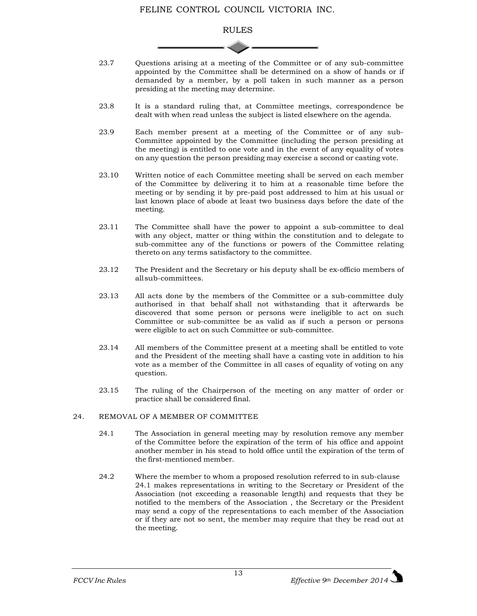

- 23.7 Questions arising at a meeting of the Committee or of any sub-committee appointed by the Committee shall be determined on a show of hands or if demanded by a member, by a poll taken in such manner as a person presiding at the meeting may determine.
- 23.8 It is a standard ruling that, at Committee meetings, correspondence be dealt with when read unless the subject is listed elsewhere on the agenda.
- 23.9 Each member present at a meeting of the Committee or of any sub-Committee appointed by the Committee (including the person presiding at the meeting) is entitled to one vote and in the event of any equality of votes on any question the person presiding may exercise a second or casting vote.
- 23.10 Written notice of each Committee meeting shall be served on each member of the Committee by delivering it to him at a reasonable time before the meeting or by sending it by pre-paid post addressed to him at his usual or last known place of abode at least two business days before the date of the meeting.
- 23.11 The Committee shall have the power to appoint a sub-committee to deal with any object, matter or thing within the constitution and to delegate to sub-committee any of the functions or powers of the Committee relating thereto on any terms satisfactory to the committee.
- 23.12 The President and the Secretary or his deputy shall be ex-officio members of allsub-committees.
- 23.13 All acts done by the members of the Committee or a sub-committee duly authorised in that behalf shall not withstanding that it afterwards be discovered that some person or persons were ineligible to act on such Committee or sub-committee be as valid as if such a person or persons were eligible to act on such Committee or sub-committee.
- 23.14 All members of the Committee present at a meeting shall be entitled to vote and the President of the meeting shall have a casting vote in addition to his vote as a member of the Committee in all cases of equality of voting on any question.
- 23.15 The ruling of the Chairperson of the meeting on any matter of order or practice shall be considered final.

## 24. REMOVAL OF A MEMBER OF COMMITTEE

- 24.1 The Association in general meeting may by resolution remove any member of the Committee before the expiration of the term of his office and appoint another member in his stead to hold office until the expiration of the term of the first-mentioned member.
- 24.2 Where the member to whom a proposed resolution referred to in sub-clause 24.1 makes representations in writing to the Secretary or President of the Association (not exceeding a reasonable length) and requests that they be notified to the members of the Association , the Secretary or the President may send a copy of the representations to each member of the Association or if they are not so sent, the member may require that they be read out at the meeting.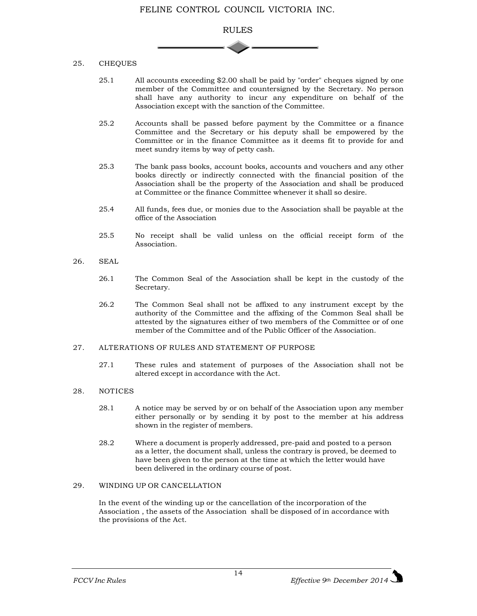

## 25. CHEQUES

- 25.1 All accounts exceeding \$2.00 shall be paid by "order" cheques signed by one member of the Committee and countersigned by the Secretary. No person shall have any authority to incur any expenditure on behalf of the Association except with the sanction of the Committee.
- 25.2 Accounts shall be passed before payment by the Committee or a finance Committee and the Secretary or his deputy shall be empowered by the Committee or in the finance Committee as it deems fit to provide for and meet sundry items by way of petty cash.
- 25.3 The bank pass books, account books, accounts and vouchers and any other books directly or indirectly connected with the financial position of the Association shall be the property of the Association and shall be produced at Committee or the finance Committee whenever it shall so desire.
- 25.4 All funds, fees due, or monies due to the Association shall be payable at the office of the Association
- 25.5 No receipt shall be valid unless on the official receipt form of the Association.
- 26. SEAL
	- 26.1 The Common Seal of the Association shall be kept in the custody of the Secretary.
	- 26.2 The Common Seal shall not be affixed to any instrument except by the authority of the Committee and the affixing of the Common Seal shall be attested by the signatures either of two members of the Committee or of one member of the Committee and of the Public Officer of the Association.

#### 27. ALTERATIONS OF RULES AND STATEMENT OF PURPOSE

27.1 These rules and statement of purposes of the Association shall not be altered except in accordance with the Act.

## 28. NOTICES

- 28.1 A notice may be served by or on behalf of the Association upon any member either personally or by sending it by post to the member at his address shown in the register of members.
- 28.2 Where a document is properly addressed, pre-paid and posted to a person as a letter, the document shall, unless the contrary is proved, be deemed to have been given to the person at the time at which the letter would have been delivered in the ordinary course of post.

## 29. WINDING UP OR CANCELLATION

In the event of the winding up or the cancellation of the incorporation of the Association , the assets of the Association shall be disposed of in accordance with the provisions of the Act.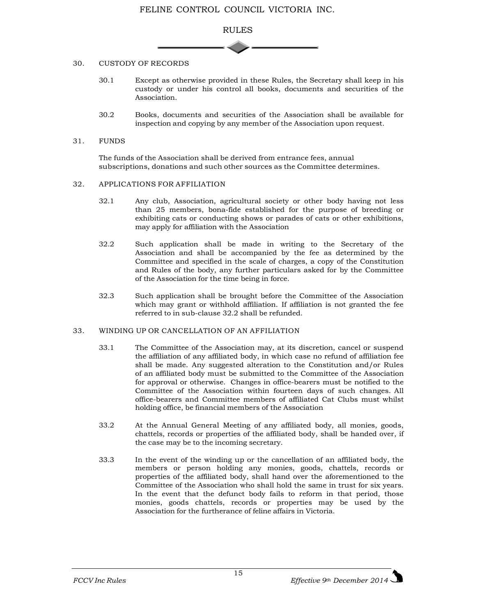

#### 30. CUSTODY OF RECORDS

- 30.1 Except as otherwise provided in these Rules, the Secretary shall keep in his custody or under his control all books, documents and securities of the Association.
- 30.2 Books, documents and securities of the Association shall be available for inspection and copying by any member of the Association upon request.

#### 31. FUNDS

The funds of the Association shall be derived from entrance fees, annual subscriptions, donations and such other sources as the Committee determines.

#### 32. APPLICATIONS FOR AFFILIATION

- 32.1 Any club, Association, agricultural society or other body having not less than 25 members, bona-fide established for the purpose of breeding or exhibiting cats or conducting shows or parades of cats or other exhibitions, may apply for affiliation with the Association
- 32.2 Such application shall be made in writing to the Secretary of the Association and shall be accompanied by the fee as determined by the Committee and specified in the scale of charges, a copy of the Constitution and Rules of the body, any further particulars asked for by the Committee of the Association for the time being in force.
- 32.3 Such application shall be brought before the Committee of the Association which may grant or withhold affiliation. If affiliation is not granted the fee referred to in sub-clause 32.2 shall be refunded.

## 33. WINDING UP OR CANCELLATION OF AN AFFILIATION

- 33.1 The Committee of the Association may, at its discretion, cancel or suspend the affiliation of any affiliated body, in which case no refund of affiliation fee shall be made. Any suggested alteration to the Constitution and/or Rules of an affiliated body must be submitted to the Committee of the Association for approval or otherwise. Changes in office-bearers must be notified to the Committee of the Association within fourteen days of such changes. All office-bearers and Committee members of affiliated Cat Clubs must whilst holding office, be financial members of the Association
- 33.2 At the Annual General Meeting of any affiliated body, all monies, goods, chattels, records or properties of the affiliated body, shall be handed over, if the case may be to the incoming secretary.
- 33.3 In the event of the winding up or the cancellation of an affiliated body, the members or person holding any monies, goods, chattels, records or properties of the affiliated body, shall hand over the aforementioned to the Committee of the Association who shall hold the same in trust for six years. In the event that the defunct body fails to reform in that period, those monies, goods chattels, records or properties may be used by the Association for the furtherance of feline affairs in Victoria.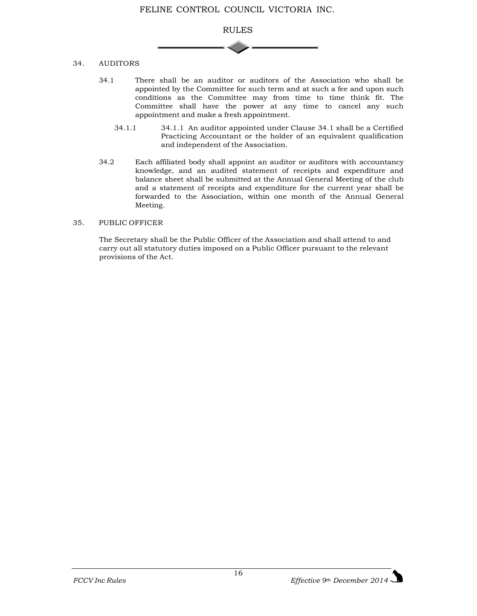

## 34. AUDITORS

- 34.1 There shall be an auditor or auditors of the Association who shall be appointed by the Committee for such term and at such a fee and upon such conditions as the Committee may from time to time think fit. The Committee shall have the power at any time to cancel any such appointment and make a fresh appointment.
	- 34.1.1 34.1.1 An auditor appointed under Clause 34.1 shall be a Certified Practicing Accountant or the holder of an equivalent qualification and independent of the Association.
- 34.2 Each affiliated body shall appoint an auditor or auditors with accountancy knowledge, and an audited statement of receipts and expenditure and balance sheet shall be submitted at the Annual General Meeting of the club and a statement of receipts and expenditure for the current year shall be forwarded to the Association, within one month of the Annual General Meeting.

## 35. PUBLIC OFFICER

The Secretary shall be the Public Officer of the Association and shall attend to and carry out all statutory duties imposed on a Public Officer pursuant to the relevant provisions of the Act.